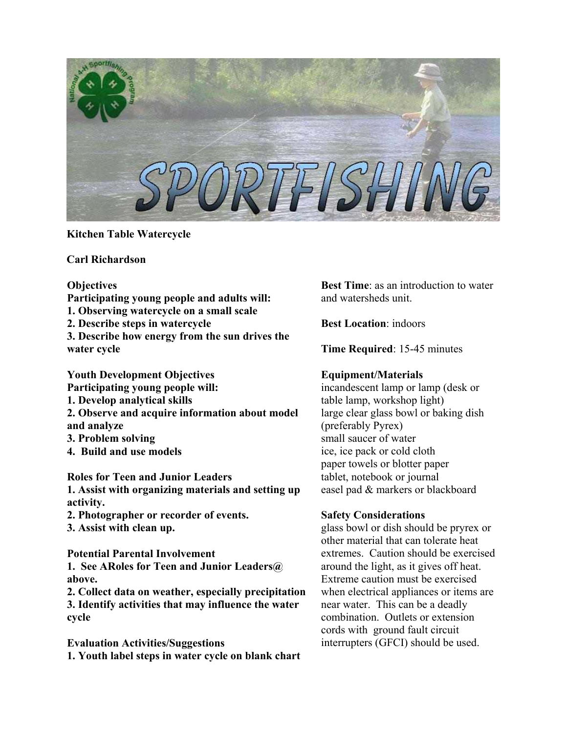

## **Kitchen Table Watercycle**

**Carl Richardson** 

### **Objectives**

**Participating young people and adults will:** 

**1. Observing watercycle on a small scale** 

**2. Describe steps in watercycle** 

**3. Describe how energy from the sun drives the water cycle** 

**Youth Development Objectives Participating young people will: 1. Develop analytical skills 2. Observe and acquire information about model and analyze 3. Problem solving 4. Build and use models** 

**Roles for Teen and Junior Leaders** 

**1. Assist with organizing materials and setting up activity.** 

- **2. Photographer or recorder of events.**
- **3. Assist with clean up.**

**Potential Parental Involvement 1. See ARoles for Teen and Junior Leaders@ above.** 

**2. Collect data on weather, especially precipitation 3. Identify activities that may influence the water cycle** 

**Evaluation Activities/Suggestions 1. Youth label steps in water cycle on blank chart**  **Best Time**: as an introduction to water and watersheds unit.

**Best Location**: indoors

**Time Required**: 15-45 minutes

# **Equipment/Materials**

incandescent lamp or lamp (desk or table lamp, workshop light) large clear glass bowl or baking dish (preferably Pyrex) small saucer of water ice, ice pack or cold cloth paper towels or blotter paper tablet, notebook or journal easel pad & markers or blackboard

# **Safety Considerations**

glass bowl or dish should be pryrex or other material that can tolerate heat extremes. Caution should be exercised around the light, as it gives off heat. Extreme caution must be exercised when electrical appliances or items are near water. This can be a deadly combination. Outlets or extension cords with ground fault circuit interrupters (GFCI) should be used.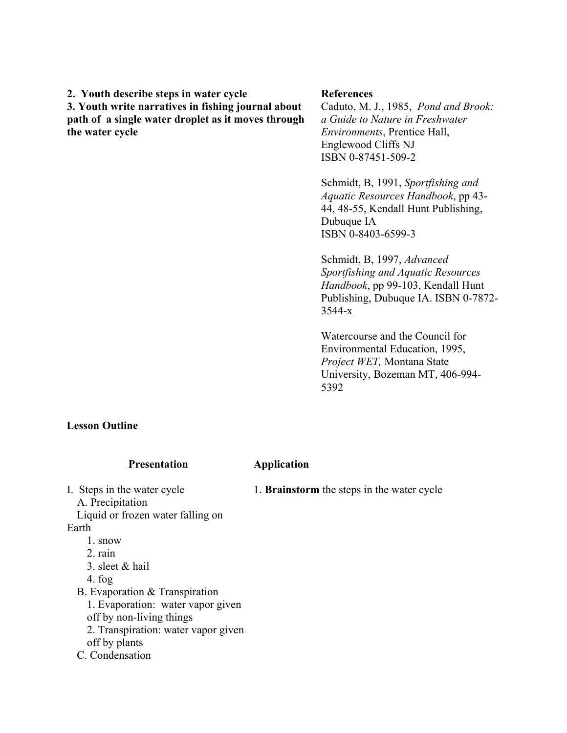**2. Youth describe steps in water cycle** 

**3. Youth write narratives in fishing journal about path of a single water droplet as it moves through the water cycle**

#### **References**

Caduto, M. J., 1985, *Pond and Brook: a Guide to Nature in Freshwater Environments*, Prentice Hall, Englewood Cliffs NJ ISBN 0-87451-509-2

Schmidt, B, 1991, *Sportfishing and Aquatic Resources Handbook*, pp 43- 44, 48-55, Kendall Hunt Publishing, Dubuque IA ISBN 0-8403-6599-3

Schmidt, B, 1997, *Advanced Sportfishing and Aquatic Resources Handbook*, pp 99-103, Kendall Hunt Publishing, Dubuque IA. ISBN 0-7872- 3544-x

Watercourse and the Council for Environmental Education, 1995, *Project WET,* Montana State University, Bozeman MT, 406-994- 5392

### **Lesson Outline**

| <b>Presentation</b>                                                                  | Application                                       |
|--------------------------------------------------------------------------------------|---------------------------------------------------|
| I. Steps in the water cycle<br>A. Precipitation<br>Liquid or frozen water falling on | 1. <b>Brainstorm</b> the steps in the water cycle |
| Earth                                                                                |                                                   |
| 1. snow                                                                              |                                                   |
| 2 rain                                                                               |                                                   |
| 3. sleet $&$ hail                                                                    |                                                   |
| 4. fog                                                                               |                                                   |
| B. Evaporation & Transpiration                                                       |                                                   |
| 1. Evaporation: water vapor given                                                    |                                                   |
| off by non-living things                                                             |                                                   |
| 2. Transpiration: water vapor given                                                  |                                                   |
| off by plants                                                                        |                                                   |
| C. Condensation                                                                      |                                                   |
|                                                                                      |                                                   |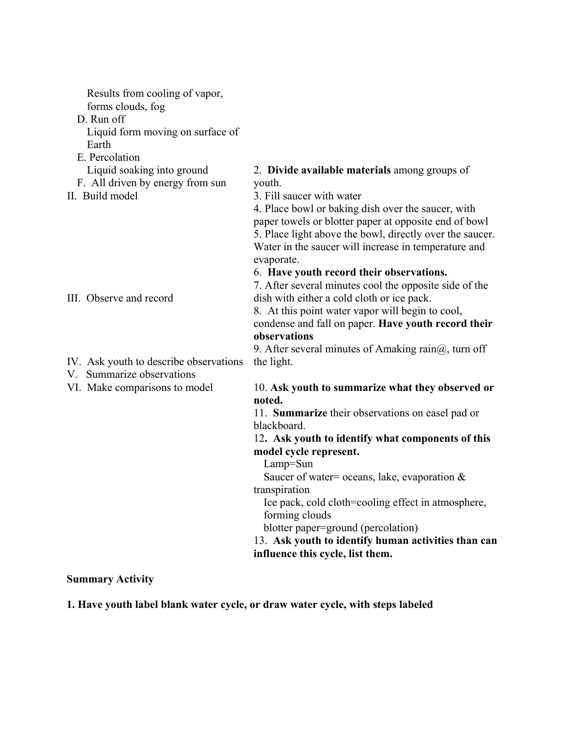| Results from cooling of vapor,<br>forms clouds, fog<br>D. Run off<br>Liquid form moving on surface of<br>Earth<br>E. Percolation |                                                                                                                                                                         |
|----------------------------------------------------------------------------------------------------------------------------------|-------------------------------------------------------------------------------------------------------------------------------------------------------------------------|
| Liquid soaking into ground                                                                                                       | 2. Divide available materials among groups of                                                                                                                           |
| F. All driven by energy from sun                                                                                                 | youth.                                                                                                                                                                  |
| II. Build model                                                                                                                  | 3. Fill saucer with water                                                                                                                                               |
|                                                                                                                                  | 4. Place bowl or baking dish over the saucer, with<br>paper towels or blotter paper at opposite end of bowl<br>5. Place light above the bowl, directly over the saucer. |
|                                                                                                                                  | Water in the saucer will increase in temperature and<br>evaporate.                                                                                                      |
|                                                                                                                                  | 6. Have youth record their observations.                                                                                                                                |
|                                                                                                                                  | 7. After several minutes cool the opposite side of the                                                                                                                  |
| III. Observe and record                                                                                                          | dish with either a cold cloth or ice pack.                                                                                                                              |
|                                                                                                                                  | 8. At this point water vapor will begin to cool,<br>condense and fall on paper. Have youth record their                                                                 |
|                                                                                                                                  | observations                                                                                                                                                            |
|                                                                                                                                  | 9. After several minutes of Amaking rain $(a)$ , turn off                                                                                                               |
| IV. Ask youth to describe observations<br>V. Summarize observations                                                              | the light.                                                                                                                                                              |
| VI. Make comparisons to model                                                                                                    | 10. Ask youth to summarize what they observed or<br>noted.                                                                                                              |
|                                                                                                                                  | 11. Summarize their observations on easel pad or                                                                                                                        |
|                                                                                                                                  | blackboard.                                                                                                                                                             |
|                                                                                                                                  | 12. Ask youth to identify what components of this                                                                                                                       |
|                                                                                                                                  | model cycle represent.<br>Lamp=Sun                                                                                                                                      |
|                                                                                                                                  | Saucer of water= oceans, lake, evaporation $\&$                                                                                                                         |
|                                                                                                                                  | transpiration                                                                                                                                                           |
|                                                                                                                                  | Ice pack, cold cloth=cooling effect in atmosphere,                                                                                                                      |
|                                                                                                                                  | forming clouds                                                                                                                                                          |
|                                                                                                                                  | blotter paper=ground (percolation)                                                                                                                                      |
|                                                                                                                                  | 13. Ask youth to identify human activities than can                                                                                                                     |
|                                                                                                                                  | influence this cycle, list them.                                                                                                                                        |

**Summary Activity** 

**1. Have youth label blank water cycle, or draw water cycle, with steps labeled**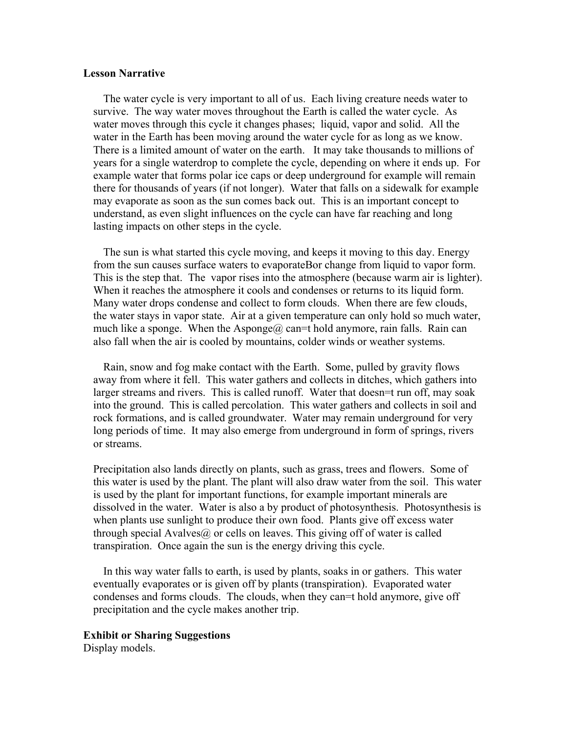#### **Lesson Narrative**

 The water cycle is very important to all of us. Each living creature needs water to survive. The way water moves throughout the Earth is called the water cycle. As water moves through this cycle it changes phases; liquid, vapor and solid. All the water in the Earth has been moving around the water cycle for as long as we know. There is a limited amount of water on the earth. It may take thousands to millions of years for a single waterdrop to complete the cycle, depending on where it ends up. For example water that forms polar ice caps or deep underground for example will remain there for thousands of years (if not longer). Water that falls on a sidewalk for example may evaporate as soon as the sun comes back out. This is an important concept to understand, as even slight influences on the cycle can have far reaching and long lasting impacts on other steps in the cycle.

The sun is what started this cycle moving, and keeps it moving to this day. Energy from the sun causes surface waters to evaporateBor change from liquid to vapor form. This is the step that. The vapor rises into the atmosphere (because warm air is lighter). When it reaches the atmosphere it cools and condenses or returns to its liquid form. Many water drops condense and collect to form clouds. When there are few clouds, the water stays in vapor state. Air at a given temperature can only hold so much water, much like a sponge. When the Asponge@ can=t hold anymore, rain falls. Rain can also fall when the air is cooled by mountains, colder winds or weather systems.

Rain, snow and fog make contact with the Earth. Some, pulled by gravity flows away from where it fell. This water gathers and collects in ditches, which gathers into larger streams and rivers. This is called runoff. Water that doesn=t run off, may soak into the ground. This is called percolation. This water gathers and collects in soil and rock formations, and is called groundwater. Water may remain underground for very long periods of time. It may also emerge from underground in form of springs, rivers or streams.

 Precipitation also lands directly on plants, such as grass, trees and flowers. Some of this water is used by the plant. The plant will also draw water from the soil. This water is used by the plant for important functions, for example important minerals are dissolved in the water. Water is also a by product of photosynthesis. Photosynthesis is when plants use sunlight to produce their own food. Plants give off excess water through special Avalves $\omega$  or cells on leaves. This giving off of water is called transpiration. Once again the sun is the energy driving this cycle.

In this way water falls to earth, is used by plants, soaks in or gathers. This water eventually evaporates or is given off by plants (transpiration). Evaporated water condenses and forms clouds. The clouds, when they can=t hold anymore, give off precipitation and the cycle makes another trip.

#### **Exhibit or Sharing Suggestions**

Display models.